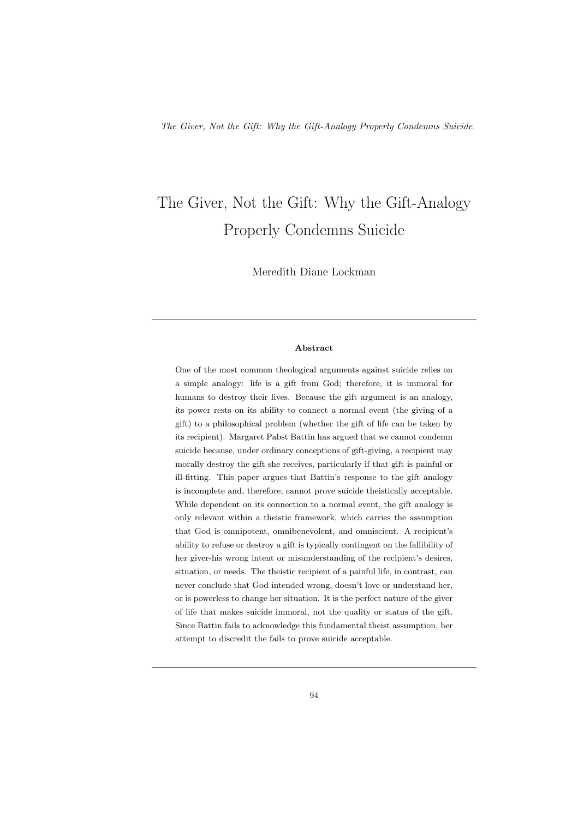# The Giver, Not the Gift: Why the Gift-Analogy Properly Condemns Suicide

Meredith Diane Lockman

## Abstract

One of the most common theological arguments against suicide relies on a simple analogy: life is a gift from God; therefore, it is immoral for humans to destroy their lives. Because the gift argument is an analogy, its power rests on its ability to connect a normal event (the giving of a gift) to a philosophical problem (whether the gift of life can be taken by its recipient). Margaret Pabst Battin has argued that we cannot condemn suicide because, under ordinary conceptions of gift-giving, a recipient may morally destroy the gift she receives, particularly if that gift is painful or ill-fitting. This paper argues that Battin's response to the gift analogy is incomplete and, therefore, cannot prove suicide theistically acceptable. While dependent on its connection to a normal event, the gift analogy is only relevant within a theistic framework, which carries the assumption that God is omnipotent, omnibenevolent, and omniscient. A recipient's ability to refuse or destroy a gift is typically contingent on the fallibility of her giver-his wrong intent or misunderstanding of the recipient's desires, situation, or needs. The theistic recipient of a painful life, in contrast, can never conclude that God intended wrong, doesn't love or understand her, or is powerless to change her situation. It is the perfect nature of the giver of life that makes suicide immoral, not the quality or status of the gift. Since Battin fails to acknowledge this fundamental theist assumption, her attempt to discredit the fails to prove suicide acceptable.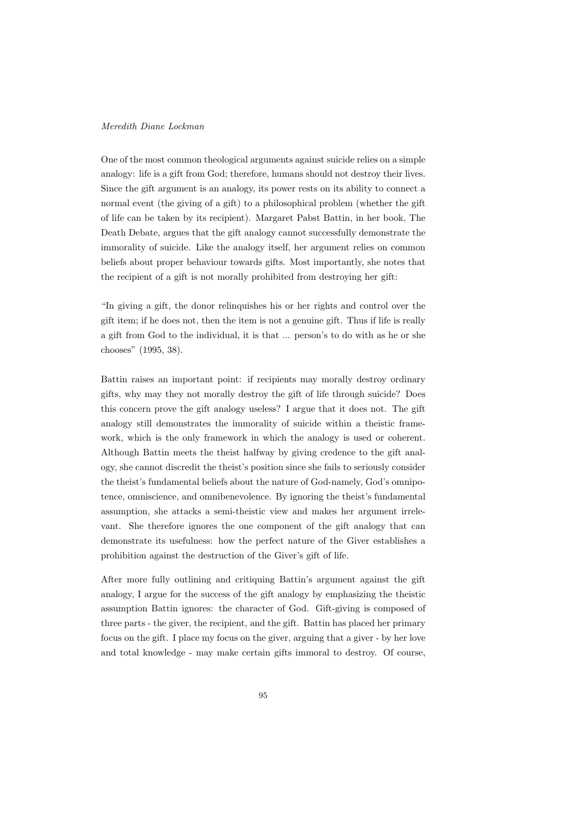One of the most common theological arguments against suicide relies on a simple analogy: life is a gift from God; therefore, humans should not destroy their lives. Since the gift argument is an analogy, its power rests on its ability to connect a normal event (the giving of a gift) to a philosophical problem (whether the gift of life can be taken by its recipient). Margaret Pabst Battin, in her book, The Death Debate, argues that the gift analogy cannot successfully demonstrate the immorality of suicide. Like the analogy itself, her argument relies on common beliefs about proper behaviour towards gifts. Most importantly, she notes that the recipient of a gift is not morally prohibited from destroying her gift:

"In giving a gift, the donor relinquishes his or her rights and control over the gift item; if he does not, then the item is not a genuine gift. Thus if life is really a gift from God to the individual, it is that ... person's to do with as he or she chooses" (1995, 38).

Battin raises an important point: if recipients may morally destroy ordinary gifts, why may they not morally destroy the gift of life through suicide? Does this concern prove the gift analogy useless? I argue that it does not. The gift analogy still demonstrates the immorality of suicide within a theistic framework, which is the only framework in which the analogy is used or coherent. Although Battin meets the theist halfway by giving credence to the gift analogy, she cannot discredit the theist's position since she fails to seriously consider the theist's fundamental beliefs about the nature of God-namely, God's omnipotence, omniscience, and omnibenevolence. By ignoring the theist's fundamental assumption, she attacks a semi-theistic view and makes her argument irrelevant. She therefore ignores the one component of the gift analogy that can demonstrate its usefulness: how the perfect nature of the Giver establishes a prohibition against the destruction of the Giver's gift of life.

After more fully outlining and critiquing Battin's argument against the gift analogy, I argue for the success of the gift analogy by emphasizing the theistic assumption Battin ignores: the character of God. Gift-giving is composed of three parts - the giver, the recipient, and the gift. Battin has placed her primary focus on the gift. I place my focus on the giver, arguing that a giver - by her love and total knowledge - may make certain gifts immoral to destroy. Of course,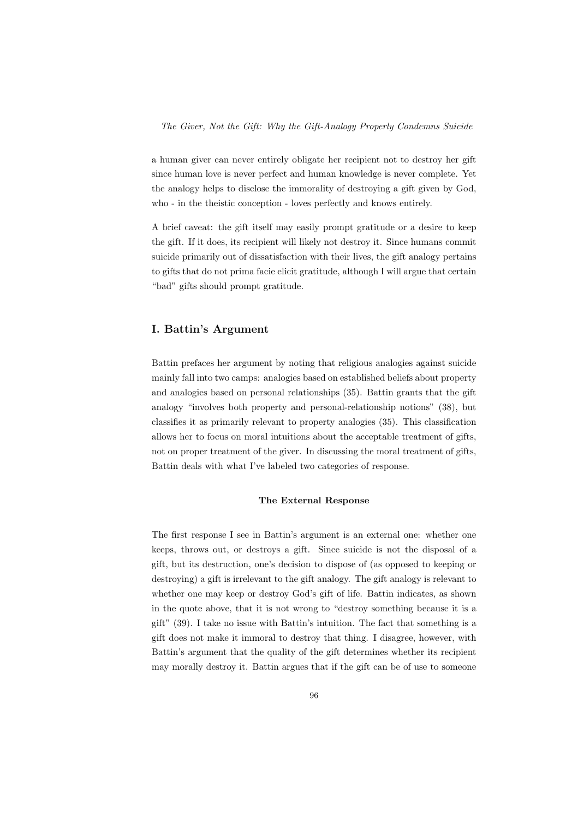a human giver can never entirely obligate her recipient not to destroy her gift since human love is never perfect and human knowledge is never complete. Yet the analogy helps to disclose the immorality of destroying a gift given by God, who - in the theistic conception - loves perfectly and knows entirely.

A brief caveat: the gift itself may easily prompt gratitude or a desire to keep the gift. If it does, its recipient will likely not destroy it. Since humans commit suicide primarily out of dissatisfaction with their lives, the gift analogy pertains to gifts that do not prima facie elicit gratitude, although I will argue that certain "bad" gifts should prompt gratitude.

## I. Battin's Argument

Battin prefaces her argument by noting that religious analogies against suicide mainly fall into two camps: analogies based on established beliefs about property and analogies based on personal relationships (35). Battin grants that the gift analogy "involves both property and personal-relationship notions" (38), but classifies it as primarily relevant to property analogies (35). This classification allows her to focus on moral intuitions about the acceptable treatment of gifts, not on proper treatment of the giver. In discussing the moral treatment of gifts, Battin deals with what I've labeled two categories of response.

### The External Response

The first response I see in Battin's argument is an external one: whether one keeps, throws out, or destroys a gift. Since suicide is not the disposal of a gift, but its destruction, one's decision to dispose of (as opposed to keeping or destroying) a gift is irrelevant to the gift analogy. The gift analogy is relevant to whether one may keep or destroy God's gift of life. Battin indicates, as shown in the quote above, that it is not wrong to "destroy something because it is a gift" (39). I take no issue with Battin's intuition. The fact that something is a gift does not make it immoral to destroy that thing. I disagree, however, with Battin's argument that the quality of the gift determines whether its recipient may morally destroy it. Battin argues that if the gift can be of use to someone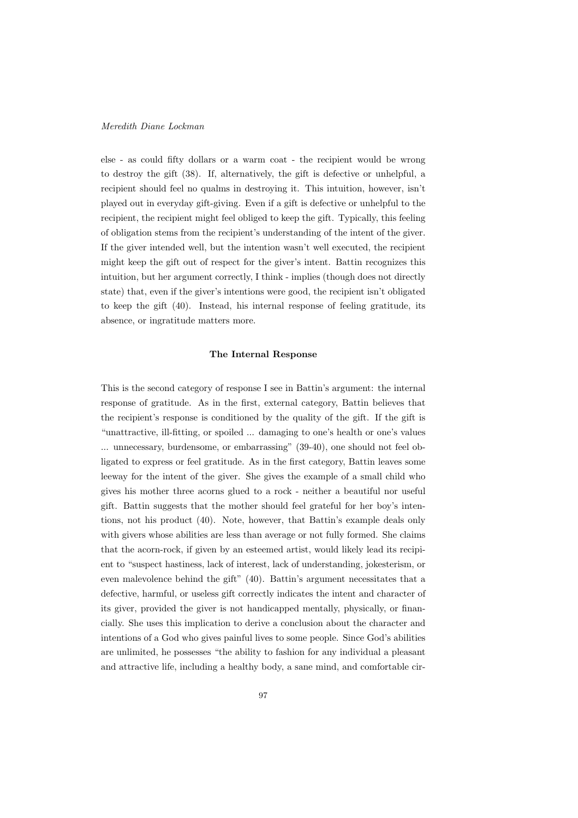else - as could fifty dollars or a warm coat - the recipient would be wrong to destroy the gift (38). If, alternatively, the gift is defective or unhelpful, a recipient should feel no qualms in destroying it. This intuition, however, isn't played out in everyday gift-giving. Even if a gift is defective or unhelpful to the recipient, the recipient might feel obliged to keep the gift. Typically, this feeling of obligation stems from the recipient's understanding of the intent of the giver. If the giver intended well, but the intention wasn't well executed, the recipient might keep the gift out of respect for the giver's intent. Battin recognizes this intuition, but her argument correctly, I think - implies (though does not directly state) that, even if the giver's intentions were good, the recipient isn't obligated to keep the gift (40). Instead, his internal response of feeling gratitude, its absence, or ingratitude matters more.

## The Internal Response

This is the second category of response I see in Battin's argument: the internal response of gratitude. As in the first, external category, Battin believes that the recipient's response is conditioned by the quality of the gift. If the gift is "unattractive, ill-fitting, or spoiled ... damaging to one's health or one's values ... unnecessary, burdensome, or embarrassing" (39-40), one should not feel obligated to express or feel gratitude. As in the first category, Battin leaves some leeway for the intent of the giver. She gives the example of a small child who gives his mother three acorns glued to a rock - neither a beautiful nor useful gift. Battin suggests that the mother should feel grateful for her boy's intentions, not his product (40). Note, however, that Battin's example deals only with givers whose abilities are less than average or not fully formed. She claims that the acorn-rock, if given by an esteemed artist, would likely lead its recipient to "suspect hastiness, lack of interest, lack of understanding, jokesterism, or even malevolence behind the gift" (40). Battin's argument necessitates that a defective, harmful, or useless gift correctly indicates the intent and character of its giver, provided the giver is not handicapped mentally, physically, or financially. She uses this implication to derive a conclusion about the character and intentions of a God who gives painful lives to some people. Since God's abilities are unlimited, he possesses "the ability to fashion for any individual a pleasant and attractive life, including a healthy body, a sane mind, and comfortable cir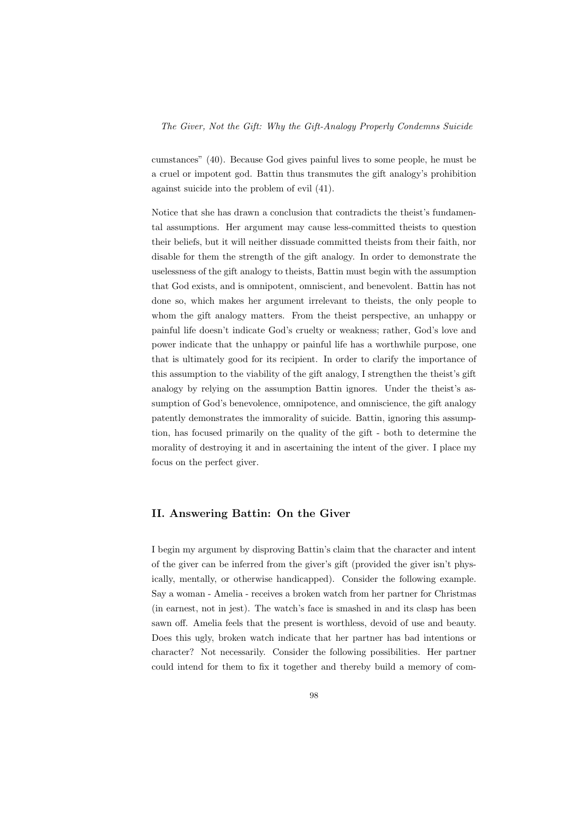The Giver, Not the Gift: Why the Gift-Analogy Properly Condemns Suicide

cumstances" (40). Because God gives painful lives to some people, he must be a cruel or impotent god. Battin thus transmutes the gift analogy's prohibition against suicide into the problem of evil (41).

Notice that she has drawn a conclusion that contradicts the theist's fundamental assumptions. Her argument may cause less-committed theists to question their beliefs, but it will neither dissuade committed theists from their faith, nor disable for them the strength of the gift analogy. In order to demonstrate the uselessness of the gift analogy to theists, Battin must begin with the assumption that God exists, and is omnipotent, omniscient, and benevolent. Battin has not done so, which makes her argument irrelevant to theists, the only people to whom the gift analogy matters. From the theist perspective, an unhappy or painful life doesn't indicate God's cruelty or weakness; rather, God's love and power indicate that the unhappy or painful life has a worthwhile purpose, one that is ultimately good for its recipient. In order to clarify the importance of this assumption to the viability of the gift analogy, I strengthen the theist's gift analogy by relying on the assumption Battin ignores. Under the theist's assumption of God's benevolence, omnipotence, and omniscience, the gift analogy patently demonstrates the immorality of suicide. Battin, ignoring this assumption, has focused primarily on the quality of the gift - both to determine the morality of destroying it and in ascertaining the intent of the giver. I place my focus on the perfect giver.

## II. Answering Battin: On the Giver

I begin my argument by disproving Battin's claim that the character and intent of the giver can be inferred from the giver's gift (provided the giver isn't physically, mentally, or otherwise handicapped). Consider the following example. Say a woman - Amelia - receives a broken watch from her partner for Christmas (in earnest, not in jest). The watch's face is smashed in and its clasp has been sawn off. Amelia feels that the present is worthless, devoid of use and beauty. Does this ugly, broken watch indicate that her partner has bad intentions or character? Not necessarily. Consider the following possibilities. Her partner could intend for them to fix it together and thereby build a memory of com-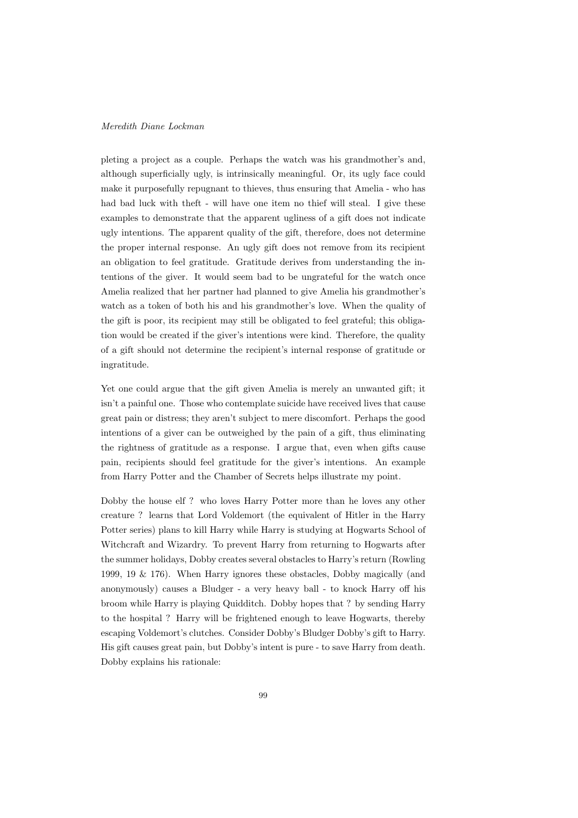pleting a project as a couple. Perhaps the watch was his grandmother's and, although superficially ugly, is intrinsically meaningful. Or, its ugly face could make it purposefully repugnant to thieves, thus ensuring that Amelia - who has had bad luck with theft - will have one item no thief will steal. I give these examples to demonstrate that the apparent ugliness of a gift does not indicate ugly intentions. The apparent quality of the gift, therefore, does not determine the proper internal response. An ugly gift does not remove from its recipient an obligation to feel gratitude. Gratitude derives from understanding the intentions of the giver. It would seem bad to be ungrateful for the watch once Amelia realized that her partner had planned to give Amelia his grandmother's watch as a token of both his and his grandmother's love. When the quality of the gift is poor, its recipient may still be obligated to feel grateful; this obligation would be created if the giver's intentions were kind. Therefore, the quality of a gift should not determine the recipient's internal response of gratitude or ingratitude.

Yet one could argue that the gift given Amelia is merely an unwanted gift; it isn't a painful one. Those who contemplate suicide have received lives that cause great pain or distress; they aren't subject to mere discomfort. Perhaps the good intentions of a giver can be outweighed by the pain of a gift, thus eliminating the rightness of gratitude as a response. I argue that, even when gifts cause pain, recipients should feel gratitude for the giver's intentions. An example from Harry Potter and the Chamber of Secrets helps illustrate my point.

Dobby the house elf ? who loves Harry Potter more than he loves any other creature ? learns that Lord Voldemort (the equivalent of Hitler in the Harry Potter series) plans to kill Harry while Harry is studying at Hogwarts School of Witchcraft and Wizardry. To prevent Harry from returning to Hogwarts after the summer holidays, Dobby creates several obstacles to Harry's return (Rowling 1999, 19 & 176). When Harry ignores these obstacles, Dobby magically (and anonymously) causes a Bludger - a very heavy ball - to knock Harry off his broom while Harry is playing Quidditch. Dobby hopes that ? by sending Harry to the hospital ? Harry will be frightened enough to leave Hogwarts, thereby escaping Voldemort's clutches. Consider Dobby's Bludger Dobby's gift to Harry. His gift causes great pain, but Dobby's intent is pure - to save Harry from death. Dobby explains his rationale: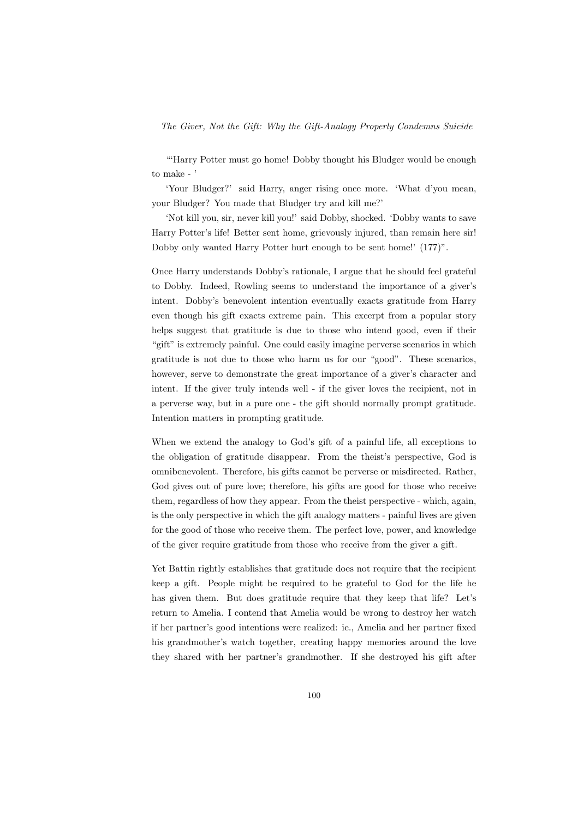## The Giver, Not the Gift: Why the Gift-Analogy Properly Condemns Suicide

"Harry Potter must go home! Dobby thought his Bludger would be enough to make -

'Your Bludger?' said Harry, anger rising once more. 'What d'you mean, your Bludger? You made that Bludger try and kill me?'

'Not kill you, sir, never kill you!' said Dobby, shocked. 'Dobby wants to save Harry Potter's life! Better sent home, grievously injured, than remain here sir! Dobby only wanted Harry Potter hurt enough to be sent home!' (177)".

Once Harry understands Dobby's rationale, I argue that he should feel grateful to Dobby. Indeed, Rowling seems to understand the importance of a giver's intent. Dobby's benevolent intention eventually exacts gratitude from Harry even though his gift exacts extreme pain. This excerpt from a popular story helps suggest that gratitude is due to those who intend good, even if their "gift" is extremely painful. One could easily imagine perverse scenarios in which gratitude is not due to those who harm us for our "good". These scenarios, however, serve to demonstrate the great importance of a giver's character and intent. If the giver truly intends well - if the giver loves the recipient, not in a perverse way, but in a pure one - the gift should normally prompt gratitude. Intention matters in prompting gratitude.

When we extend the analogy to God's gift of a painful life, all exceptions to the obligation of gratitude disappear. From the theist's perspective, God is omnibenevolent. Therefore, his gifts cannot be perverse or misdirected. Rather, God gives out of pure love; therefore, his gifts are good for those who receive them, regardless of how they appear. From the theist perspective - which, again, is the only perspective in which the gift analogy matters - painful lives are given for the good of those who receive them. The perfect love, power, and knowledge of the giver require gratitude from those who receive from the giver a gift.

Yet Battin rightly establishes that gratitude does not require that the recipient keep a gift. People might be required to be grateful to God for the life he has given them. But does gratitude require that they keep that life? Let's return to Amelia. I contend that Amelia would be wrong to destroy her watch if her partner's good intentions were realized: ie., Amelia and her partner fixed his grandmother's watch together, creating happy memories around the love they shared with her partner's grandmother. If she destroyed his gift after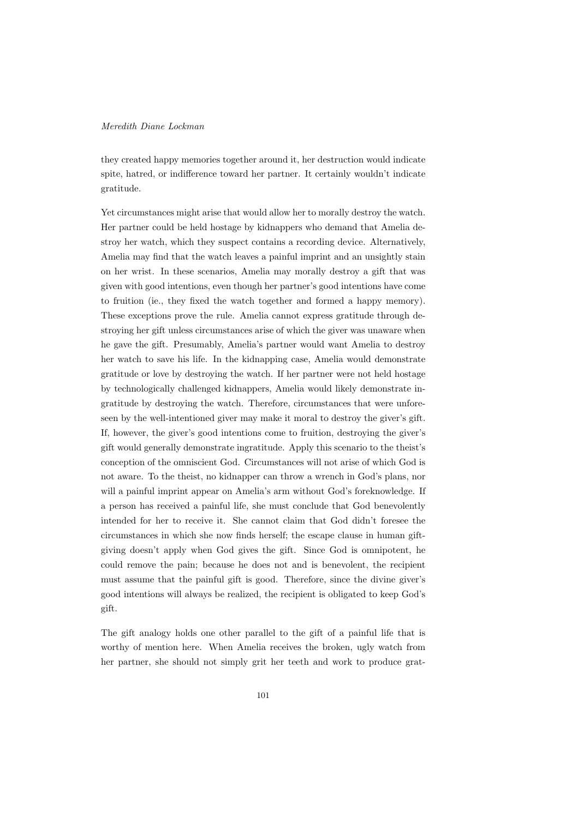they created happy memories together around it, her destruction would indicate spite, hatred, or indifference toward her partner. It certainly wouldn't indicate gratitude.

Yet circumstances might arise that would allow her to morally destroy the watch. Her partner could be held hostage by kidnappers who demand that Amelia destroy her watch, which they suspect contains a recording device. Alternatively, Amelia may find that the watch leaves a painful imprint and an unsightly stain on her wrist. In these scenarios, Amelia may morally destroy a gift that was given with good intentions, even though her partner's good intentions have come to fruition (ie., they fixed the watch together and formed a happy memory). These exceptions prove the rule. Amelia cannot express gratitude through destroying her gift unless circumstances arise of which the giver was unaware when he gave the gift. Presumably, Amelia's partner would want Amelia to destroy her watch to save his life. In the kidnapping case, Amelia would demonstrate gratitude or love by destroying the watch. If her partner were not held hostage by technologically challenged kidnappers, Amelia would likely demonstrate ingratitude by destroying the watch. Therefore, circumstances that were unforeseen by the well-intentioned giver may make it moral to destroy the giver's gift. If, however, the giver's good intentions come to fruition, destroying the giver's gift would generally demonstrate ingratitude. Apply this scenario to the theist's conception of the omniscient God. Circumstances will not arise of which God is not aware. To the theist, no kidnapper can throw a wrench in God's plans, nor will a painful imprint appear on Amelia's arm without God's foreknowledge. If a person has received a painful life, she must conclude that God benevolently intended for her to receive it. She cannot claim that God didn't foresee the circumstances in which she now finds herself; the escape clause in human giftgiving doesn't apply when God gives the gift. Since God is omnipotent, he could remove the pain; because he does not and is benevolent, the recipient must assume that the painful gift is good. Therefore, since the divine giver's good intentions will always be realized, the recipient is obligated to keep God's gift.

The gift analogy holds one other parallel to the gift of a painful life that is worthy of mention here. When Amelia receives the broken, ugly watch from her partner, she should not simply grit her teeth and work to produce grat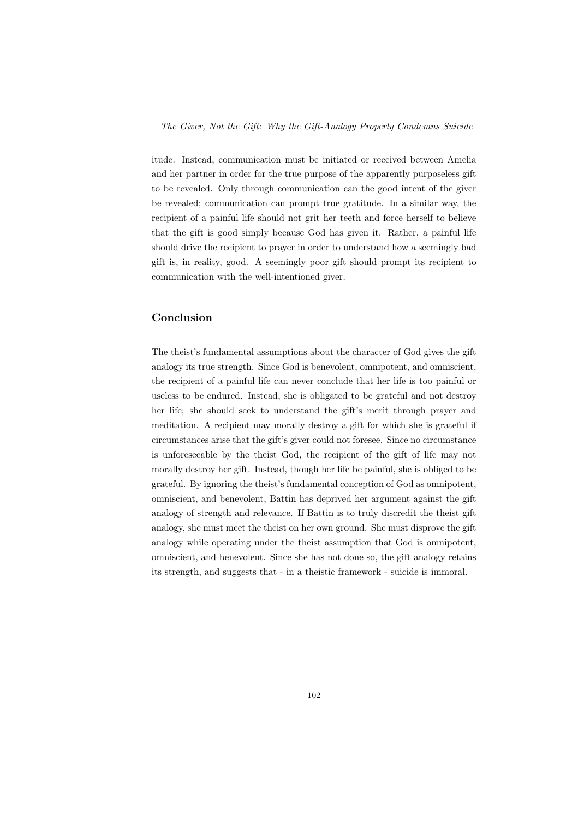The Giver, Not the Gift: Why the Gift-Analogy Properly Condemns Suicide

itude. Instead, communication must be initiated or received between Amelia and her partner in order for the true purpose of the apparently purposeless gift to be revealed. Only through communication can the good intent of the giver be revealed; communication can prompt true gratitude. In a similar way, the recipient of a painful life should not grit her teeth and force herself to believe that the gift is good simply because God has given it. Rather, a painful life should drive the recipient to prayer in order to understand how a seemingly bad gift is, in reality, good. A seemingly poor gift should prompt its recipient to communication with the well-intentioned giver.

## Conclusion

The theist's fundamental assumptions about the character of God gives the gift analogy its true strength. Since God is benevolent, omnipotent, and omniscient, the recipient of a painful life can never conclude that her life is too painful or useless to be endured. Instead, she is obligated to be grateful and not destroy her life; she should seek to understand the gift's merit through prayer and meditation. A recipient may morally destroy a gift for which she is grateful if circumstances arise that the gift's giver could not foresee. Since no circumstance is unforeseeable by the theist God, the recipient of the gift of life may not morally destroy her gift. Instead, though her life be painful, she is obliged to be grateful. By ignoring the theist's fundamental conception of God as omnipotent, omniscient, and benevolent, Battin has deprived her argument against the gift analogy of strength and relevance. If Battin is to truly discredit the theist gift analogy, she must meet the theist on her own ground. She must disprove the gift analogy while operating under the theist assumption that God is omnipotent, omniscient, and benevolent. Since she has not done so, the gift analogy retains its strength, and suggests that - in a theistic framework - suicide is immoral.